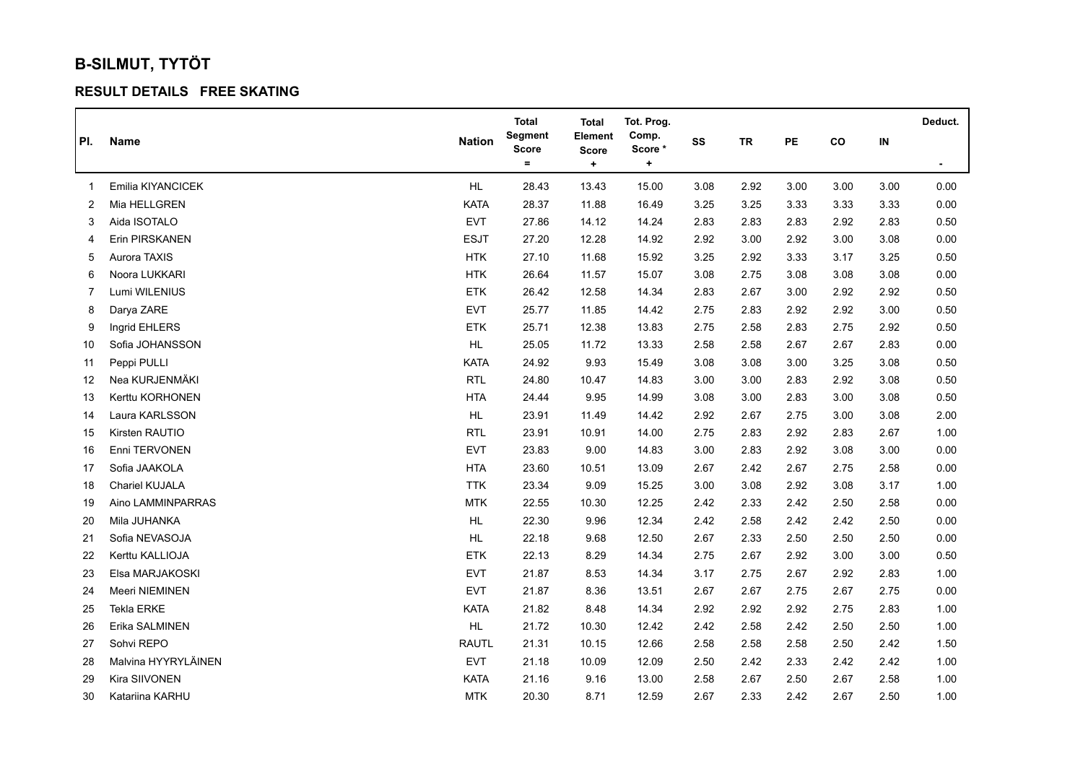## **B-SILMUT, TYTÖT**

## **RESULT DETAILS FREE SKATING**

|     |                       |               | <b>Total</b>            | <b>Total</b>              | Tot. Prog.      |      |           |      |      |          | Deduct.        |
|-----|-----------------------|---------------|-------------------------|---------------------------|-----------------|------|-----------|------|------|----------|----------------|
| PI. | Name                  | <b>Nation</b> | Segment<br><b>Score</b> | Element                   | Comp.<br>Score* | SS   | <b>TR</b> | PE   | co   | $\sf IN$ |                |
|     |                       |               | $\equiv$                | <b>Score</b><br>$\ddot{}$ | $\ddot{}$       |      |           |      |      |          | $\blacksquare$ |
| 1   | Emilia KIYANCICEK     | HL.           | 28.43                   | 13.43                     | 15.00           | 3.08 | 2.92      | 3.00 | 3.00 | 3.00     | 0.00           |
| 2   | Mia HELLGREN          | KATA          | 28.37                   | 11.88                     | 16.49           | 3.25 | 3.25      | 3.33 | 3.33 | 3.33     | 0.00           |
| 3   | Aida ISOTALO          | <b>EVT</b>    | 27.86                   | 14.12                     | 14.24           | 2.83 | 2.83      | 2.83 | 2.92 | 2.83     | 0.50           |
| 4   | Erin PIRSKANEN        | <b>ESJT</b>   | 27.20                   | 12.28                     | 14.92           | 2.92 | 3.00      | 2.92 | 3.00 | 3.08     | 0.00           |
| 5   | Aurora TAXIS          | <b>HTK</b>    | 27.10                   | 11.68                     | 15.92           | 3.25 | 2.92      | 3.33 | 3.17 | 3.25     | 0.50           |
| 6   | Noora LUKKARI         | <b>HTK</b>    | 26.64                   | 11.57                     | 15.07           | 3.08 | 2.75      | 3.08 | 3.08 | 3.08     | 0.00           |
| 7   | Lumi WILENIUS         | <b>ETK</b>    | 26.42                   | 12.58                     | 14.34           | 2.83 | 2.67      | 3.00 | 2.92 | 2.92     | 0.50           |
| 8   | Darya ZARE            | <b>EVT</b>    | 25.77                   | 11.85                     | 14.42           | 2.75 | 2.83      | 2.92 | 2.92 | 3.00     | 0.50           |
| 9   | Ingrid EHLERS         | <b>ETK</b>    | 25.71                   | 12.38                     | 13.83           | 2.75 | 2.58      | 2.83 | 2.75 | 2.92     | 0.50           |
| 10  | Sofia JOHANSSON       | HL            | 25.05                   | 11.72                     | 13.33           | 2.58 | 2.58      | 2.67 | 2.67 | 2.83     | 0.00           |
| 11  | Peppi PULLI           | <b>KATA</b>   | 24.92                   | 9.93                      | 15.49           | 3.08 | 3.08      | 3.00 | 3.25 | 3.08     | 0.50           |
| 12  | Nea KURJENMÄKI        | <b>RTL</b>    | 24.80                   | 10.47                     | 14.83           | 3.00 | 3.00      | 2.83 | 2.92 | 3.08     | 0.50           |
| 13  | Kerttu KORHONEN       | <b>HTA</b>    | 24.44                   | 9.95                      | 14.99           | 3.08 | 3.00      | 2.83 | 3.00 | 3.08     | 0.50           |
| 14  | Laura KARLSSON        | HL            | 23.91                   | 11.49                     | 14.42           | 2.92 | 2.67      | 2.75 | 3.00 | 3.08     | 2.00           |
| 15  | Kirsten RAUTIO        | <b>RTL</b>    | 23.91                   | 10.91                     | 14.00           | 2.75 | 2.83      | 2.92 | 2.83 | 2.67     | 1.00           |
| 16  | Enni TERVONEN         | <b>EVT</b>    | 23.83                   | 9.00                      | 14.83           | 3.00 | 2.83      | 2.92 | 3.08 | 3.00     | 0.00           |
| 17  | Sofia JAAKOLA         | <b>HTA</b>    | 23.60                   | 10.51                     | 13.09           | 2.67 | 2.42      | 2.67 | 2.75 | 2.58     | 0.00           |
| 18  | <b>Chariel KUJALA</b> | <b>TTK</b>    | 23.34                   | 9.09                      | 15.25           | 3.00 | 3.08      | 2.92 | 3.08 | 3.17     | 1.00           |
| 19  | Aino LAMMINPARRAS     | <b>MTK</b>    | 22.55                   | 10.30                     | 12.25           | 2.42 | 2.33      | 2.42 | 2.50 | 2.58     | 0.00           |
| 20  | Mila JUHANKA          | HL.           | 22.30                   | 9.96                      | 12.34           | 2.42 | 2.58      | 2.42 | 2.42 | 2.50     | 0.00           |
| 21  | Sofia NEVASOJA        | HL            | 22.18                   | 9.68                      | 12.50           | 2.67 | 2.33      | 2.50 | 2.50 | 2.50     | 0.00           |
| 22  | Kerttu KALLIOJA       | <b>ETK</b>    | 22.13                   | 8.29                      | 14.34           | 2.75 | 2.67      | 2.92 | 3.00 | 3.00     | 0.50           |
| 23  | Elsa MARJAKOSKI       | <b>EVT</b>    | 21.87                   | 8.53                      | 14.34           | 3.17 | 2.75      | 2.67 | 2.92 | 2.83     | 1.00           |
| 24  | Meeri NIEMINEN        | <b>EVT</b>    | 21.87                   | 8.36                      | 13.51           | 2.67 | 2.67      | 2.75 | 2.67 | 2.75     | 0.00           |
| 25  | Tekla ERKE            | KATA          | 21.82                   | 8.48                      | 14.34           | 2.92 | 2.92      | 2.92 | 2.75 | 2.83     | 1.00           |
| 26  | Erika SALMINEN        | HL            | 21.72                   | 10.30                     | 12.42           | 2.42 | 2.58      | 2.42 | 2.50 | 2.50     | 1.00           |
| 27  | Sohvi REPO            | <b>RAUTL</b>  | 21.31                   | 10.15                     | 12.66           | 2.58 | 2.58      | 2.58 | 2.50 | 2.42     | 1.50           |
| 28  | Malvina HYYRYLÄINEN   | <b>EVT</b>    | 21.18                   | 10.09                     | 12.09           | 2.50 | 2.42      | 2.33 | 2.42 | 2.42     | 1.00           |
| 29  | Kira SIIVONEN         | <b>KATA</b>   | 21.16                   | 9.16                      | 13.00           | 2.58 | 2.67      | 2.50 | 2.67 | 2.58     | 1.00           |
| 30  | Katariina KARHU       | <b>MTK</b>    | 20.30                   | 8.71                      | 12.59           | 2.67 | 2.33      | 2.42 | 2.67 | 2.50     | 1.00           |